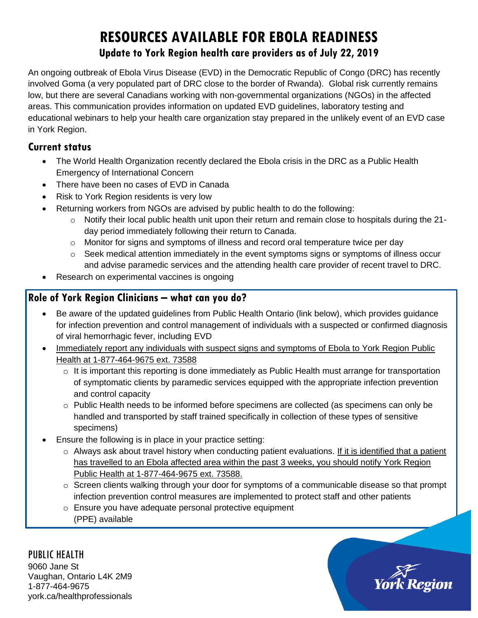# **RESOURCES AVAILABLE FOR EBOLA READINESS Update to York Region health care providers as of July 22, 2019**

An ongoing outbreak of Ebola Virus Disease (EVD) in the Democratic Republic of Congo (DRC) has recently involved Goma (a very populated part of DRC close to the border of Rwanda). Global risk currently remains low, but there are several Canadians working with non-governmental organizations (NGOs) in the affected areas. This communication provides information on updated EVD guidelines, laboratory testing and educational webinars to help your health care organization stay prepared in the unlikely event of an EVD case in York Region.

### **Current status**

- The World Health Organization recently declared the Ebola crisis in the DRC as a Public Health Emergency of International Concern
- There have been no cases of EVD in Canada
- Risk to York Region residents is very low
- Returning workers from NGOs are advised by public health to do the following:
	- $\circ$  Notify their local public health unit upon their return and remain close to hospitals during the 21day period immediately following their return to Canada.
	- o Monitor for signs and symptoms of illness and record oral temperature twice per day
	- $\circ$  Seek medical attention immediately in the event symptoms signs or symptoms of illness occur and advise paramedic services and the attending health care provider of recent travel to DRC.
- Research on experimental vaccines is ongoing

## **Role of York Region Clinicians – what can you do?**

- Be aware of the updated guidelines from Public Health Ontario (link below), which provides guidance for infection prevention and control management of individuals with a suspected or confirmed diagnosis of viral hemorrhagic fever, including EVD
- Immediately report any individuals with suspect signs and symptoms of Ebola to York Region Public Health at 1-877-464-9675 ext. 73588
	- $\circ$  It is important this reporting is done immediately as Public Health must arrange for transportation of symptomatic clients by paramedic services equipped with the appropriate infection prevention and control capacity
	- $\circ$  Public Health needs to be informed before specimens are collected (as specimens can only be handled and transported by staff trained specifically in collection of these types of sensitive specimens)
- Ensure the following is in place in your practice setting:
	- $\circ$  Always ask about travel history when conducting patient evaluations. If it is identified that a patient has travelled to an Ebola affected area within the past 3 weeks, you should notify York Region Public Health at 1-877-464-9675 ext. 73588.
	- o Screen clients walking through your door for symptoms of a communicable disease so that prompt infection prevention control measures are implemented to protect staff and other patients
	- o Ensure you have adequate personal protective equipment (PPE) available

PUBLIC HEALTH 9060 Jane St Vaughan, Ontario L4K 2M9 1-877-464-9675 york.ca/healthprofessionals